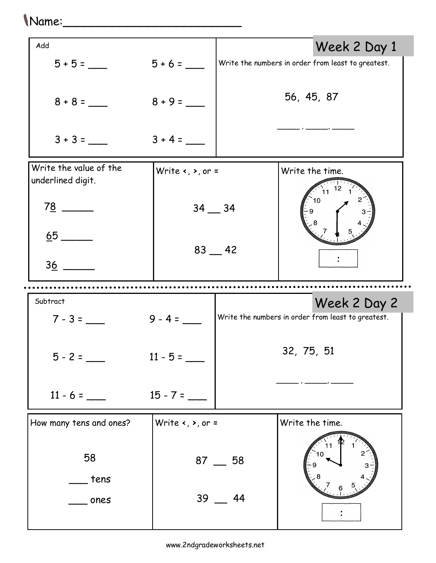| "Name:                                      |                                                       |           |                                                                    |
|---------------------------------------------|-------------------------------------------------------|-----------|--------------------------------------------------------------------|
| Add                                         |                                                       |           | Week 2 Day 1                                                       |
| $5 + 5 =$                                   |                                                       |           | Write the numbers in order from least to greatest.                 |
|                                             |                                                       |           | 56, 45, 87                                                         |
| $3 + 3 =$                                   | $3 + 4 =$                                             |           |                                                                    |
| Write the value of the<br>underlined digit. | Write $\left\langle ,\right\rangle$ , or =            |           | Write the time.                                                    |
| $\frac{78}{ }$ $\frac{ }{ }$                | $34 - 34$                                             |           | 11                                                                 |
|                                             |                                                       | $83 - 42$ |                                                                    |
| 36                                          |                                                       |           |                                                                    |
|                                             |                                                       |           |                                                                    |
| Subtract<br>$7 - 3 =$                       | $9 - 4 =$                                             |           | Week 2 Day 2<br>Write the numbers in order from least to greatest. |
| $5 - 2 =$                                   | $11 - 5 =$                                            |           | 32, 75, 51                                                         |
| $11 - 6 =$                                  | $15 - 7 =$                                            |           |                                                                    |
| How many tens and ones?                     | Write $\left\langle \cdot , \cdot \right\rangle$ or = |           | Write the time.                                                    |
| 58<br>tens                                  |                                                       | $87 - 58$ |                                                                    |
|                                             |                                                       |           |                                                                    |

39 \_\_ 44

 $\ddot{\cdot}$ 

\_\_\_ ones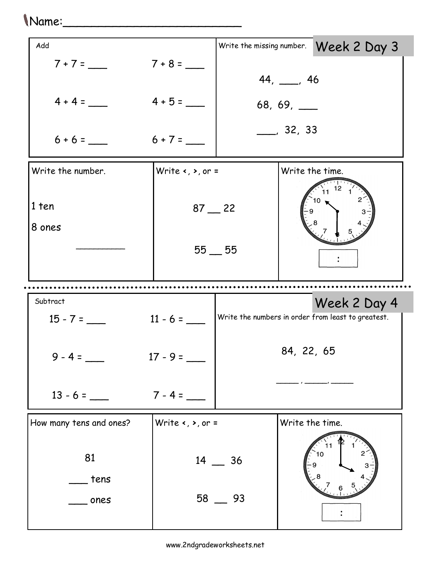